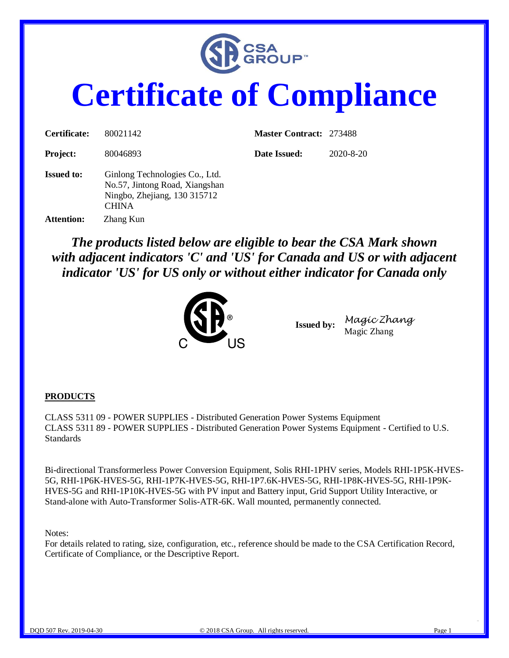

# **Certificate of Compliance**

| Certificate:      | 80021142                                                                                                         | <b>Master Contract: 273488</b> |                 |
|-------------------|------------------------------------------------------------------------------------------------------------------|--------------------------------|-----------------|
| <b>Project:</b>   | 80046893                                                                                                         | Date Issued:                   | $2020 - 8 - 20$ |
| <b>Issued to:</b> | Ginlong Technologies Co., Ltd.<br>No.57, Jintong Road, Xiangshan<br>Ningbo, Zhejiang, 130 315712<br><b>CHINA</b> |                                |                 |
| <b>Attention:</b> | Zhang Kun                                                                                                        |                                |                 |

*The products listed below are eligible to bear the CSA Mark shown with adjacent indicators 'C' and 'US' for Canada and US or with adjacent indicator 'US' for US only or without either indicator for Canada only* 



**Issued by:** *Magic Zhang* Magic Zhang

#### **PRODUCTS**

CLASS 5311 09 - POWER SUPPLIES - Distributed Generation Power Systems Equipment CLASS 5311 89 - POWER SUPPLIES - Distributed Generation Power Systems Equipment - Certified to U.S. **Standards** 

Bi-directional Transformerless Power Conversion Equipment, Solis RHI-1PHV series, Models RHI-1P5K-HVES-5G, RHI-1P6K-HVES-5G, RHI-1P7K-HVES-5G, RHI-1P7.6K-HVES-5G, RHI-1P8K-HVES-5G, RHI-1P9K-HVES-5G and RHI-1P10K-HVES-5G with PV input and Battery input, Grid Support Utility Interactive, or Stand-alone with Auto-Transformer Solis-ATR-6K. Wall mounted, permanently connected.

#### Notes:

For details related to rating, size, configuration, etc., reference should be made to the CSA Certification Record, Certificate of Compliance, or the Descriptive Report.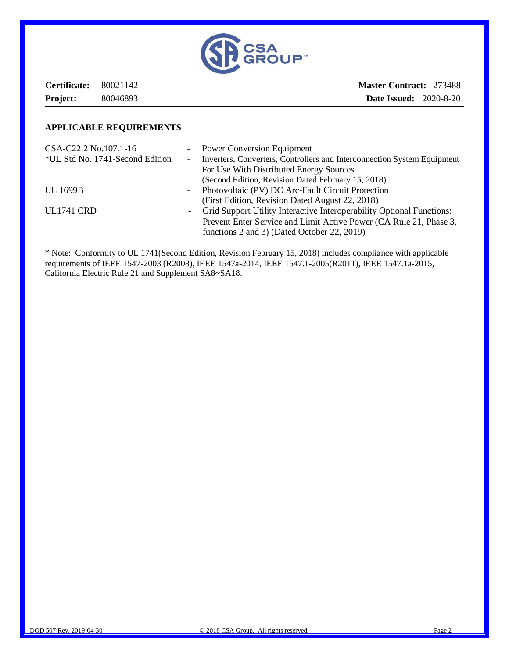

**Certificate:** 80021142 **Project:** 80046893 **Master Contract:** 273488 **Date Issued:** 2020-8-20

#### **APPLICABLE REQUIREMENTS**

| CSA-C22.2 No.107.1-16           |                                                                                                   | - Power Conversion Equipment                                            |
|---------------------------------|---------------------------------------------------------------------------------------------------|-------------------------------------------------------------------------|
| *UL Std No. 1741-Second Edition | $\sim$                                                                                            | Inverters, Converters, Controllers and Interconnection System Equipment |
|                                 |                                                                                                   | For Use With Distributed Energy Sources                                 |
|                                 |                                                                                                   | (Second Edition, Revision Dated February 15, 2018)                      |
| <b>UL 1699B</b>                 | $\sim$ 10 $\pm$                                                                                   | Photovoltaic (PV) DC Arc-Fault Circuit Protection                       |
|                                 |                                                                                                   | (First Edition, Revision Dated August 22, 2018)                         |
| <b>UL1741 CRD</b>               | Grid Support Utility Interactive Interoperability Optional Functions:<br>$\overline{\phantom{0}}$ |                                                                         |
|                                 |                                                                                                   | Prevent Enter Service and Limit Active Power (CA Rule 21, Phase 3,      |
|                                 |                                                                                                   | functions 2 and 3) (Dated October 22, 2019)                             |

\* Note: Conformity to UL 1741(Second Edition, Revision February 15, 2018) includes compliance with applicable requirements of IEEE 1547-2003 (R2008), IEEE 1547a-2014, IEEE 1547.1-2005(R2011), IEEE 1547.1a-2015, California Electric Rule 21 and Supplement SA8~SA18.